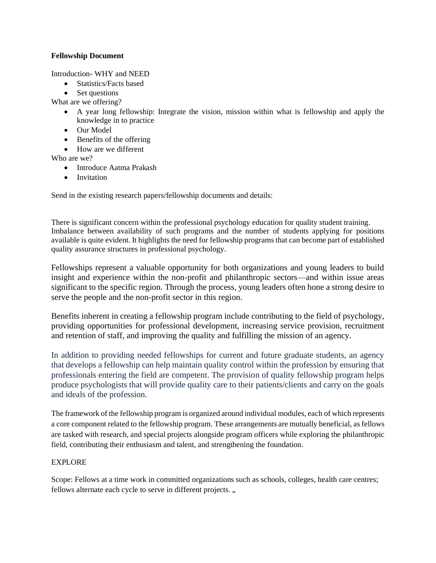## **Fellowship Document**

Introduction- WHY and NEED

- Statistics/Facts based
- Set questions

What are we offering?

- A year long fellowship: Integrate the vision, mission within what is fellowship and apply the knowledge in to practice
- Our Model
- Benefits of the offering
- How are we different

Who are we?

- Introduce Aatma Prakash
- Invitation

Send in the existing research papers/fellowship documents and details:

There is significant concern within the professional psychology education for quality student training. Imbalance between availability of such programs and the number of students applying for positions available is quite evident. It highlights the need for fellowship programs that can become part of established quality assurance structures in professional psychology.

Fellowships represent a valuable opportunity for both organizations and young leaders to build insight and experience within the non-profit and philanthropic sectors—and within issue areas significant to the specific region. Through the process, young leaders often hone a strong desire to serve the people and the non-profit sector in this region.

Benefits inherent in creating a fellowship program include contributing to the field of psychology, providing opportunities for professional development, increasing service provision, recruitment and retention of staff, and improving the quality and fulfilling the mission of an agency.

In addition to providing needed fellowships for current and future graduate students, an agency that develops a fellowship can help maintain quality control within the profession by ensuring that professionals entering the field are competent. The provision of quality fellowship program helps produce psychologists that will provide quality care to their patients/clients and carry on the goals and ideals of the profession.

The framework of the fellowship program is organized around individual modules, each of which represents a core component related to the fellowship program. These arrangements are mutually beneficial, as fellows are tasked with research, and special projects alongside program officers while exploring the philanthropic field, contributing their enthusiasm and talent, and strengthening the foundation.

## EXPLORE

Scope: Fellows at a time work in committed organizations such as schools, colleges, health care centres; fellows alternate each cycle to serve in different projects...